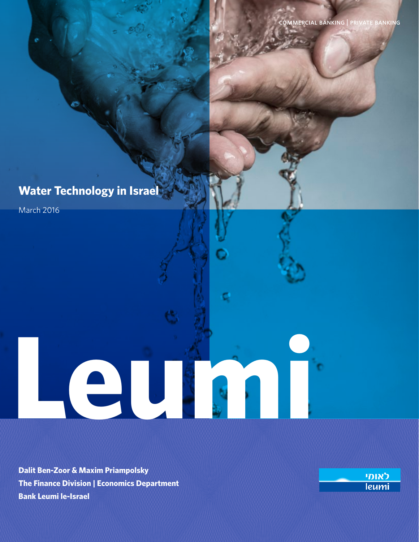# **Water Technology in Israel**

March 2016

**Dalit Ben-Zoor & Maxim Priampolsky The Finance Division | Economics Department Bank Leumi le-Israel**

**Leumin Communication de la communication de la communication de la communication de la communication de la communication de la communication de la communication de la communication de la communication de la communication** 

לאומי leumi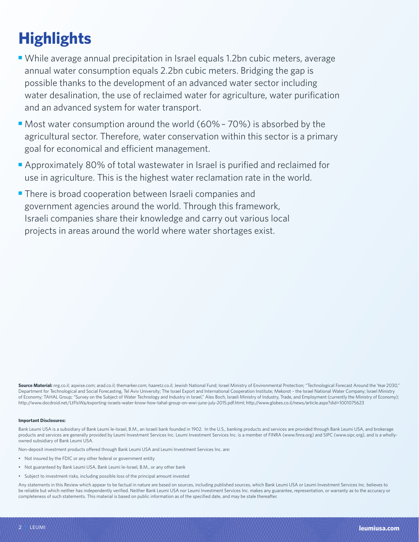# **Highlights**

- While average annual precipitation in Israel equals 1.2bn cubic meters, average annual water consumption equals 2.2bn cubic meters. Bridging the gap is possible thanks to the development of an advanced water sector including water desalination, the use of reclaimed water for agriculture, water purification and an advanced system for water transport.
- Most water consumption around the world (60% 70%) is absorbed by the agricultural sector. Therefore, water conservation within this sector is a primary goal for economical and efficient management.
- Approximately 80% of total wastewater in Israel is purified and reclaimed for use in agriculture. This is the highest water reclamation rate in the world.
- There is broad cooperation between Israeli companies and government agencies around the world. Through this framework, Israeli companies share their knowledge and carry out various local projects in areas around the world where water shortages exist.

Source Material: nrg.co.il; aqwise.com; arad.co.il; themarker.com; haaretz.co.il; Jewish National Fund; Israel Ministry of Environmental Protection; "Technological Forecast Around the Year 2030," Department for Technological and Social Forecasting, Tel Aviv University; The Israel Export and International Cooperation Institute; Mekorot - the Israel National Water Company; Israel Ministry of Economy; TAHAL Group; "Survey on the Subject of Water Technology and Industry in Israel," Alex Boch, Israeli Ministry of Industry, Trade, and Employment (currently the Ministry of Economy); http://www.docdroid.net/LtFlsWa/exporting-israels-water-know-how-tahal-group-on-wwi-june-july-2015.pdf.html; http://www.globes.co.il/news/article.aspx?did=1001075623

#### **Important Disclosures:**

Bank Leumi USA is a subsidiary of Bank Leumi le-Israel, B.M., an Israeli bank founded in 1902. In the U.S., banking products and services are provided through Bank Leumi USA, and brokerage products and services are generally provided by Leumi Investment Services Inc. Leumi Investment Services Inc. is a member of FINRA (www.finra.org) and SIPC (www.sipc.org), and is a whollyowned subsidiary of Bank Leumi USA.

Non-deposit investment products offered through Bank Leumi USA and Leumi Investment Services Inc. are:

- Not insured by the FDIC or any other federal or government entity
- Not guaranteed by Bank Leumi USA, Bank Leumi le-Israel, B.M., or any other bank
- Subject to investment risks, including possible loss of the principal amount invested

Any statements in this Review which appear to be factual in nature are based on sources, including published sources, which Bank Leumi USA or Leumi Investment Services Inc. believes to be reliable but which neither has independently verified. Neither Bank Leumi USA nor Leumi Investment Services Inc. makes any guarantee, representation, or warranty as to the accuracy or completeness of such statements. This material is based on public information as of the specified date, and may be stale thereafter.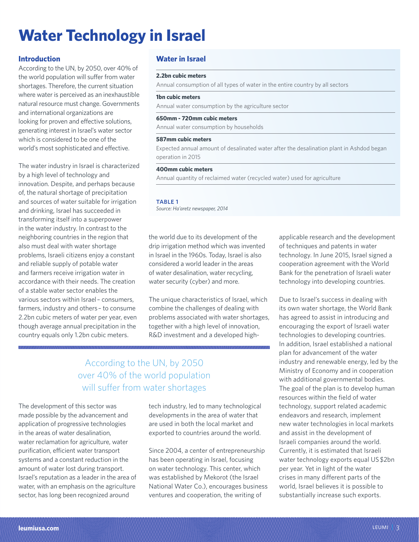# **Water Technology in Israel**

## **Introduction**

According to the UN, by 2050, over 40% of the world population will suffer from water shortages. Therefore, the current situation where water is perceived as an inexhaustible natural resource must change. Governments and international organizations are looking for proven and effective solutions, generating interest in Israel's water sector which is considered to be one of the world's most sophisticated and effective.

The water industry in Israel is characterized by a high level of technology and innovation. Despite, and perhaps because of, the natural shortage of precipitation and sources of water suitable for irrigation and drinking, Israel has succeeded in transforming itself into a superpower in the water industry. In contrast to the neighboring countries in the region that also must deal with water shortage problems, Israeli citizens enjoy a constant and reliable supply of potable water and farmers receive irrigation water in accordance with their needs. The creation of a stable water sector enables the various sectors within Israel – consumers, farmers, industry and others – to consume 2.2bn cubic meters of water per year, even though average annual precipitation in the country equals only 1.2bn cubic meters.

# **Water in Israel**

#### **2.2bn cubic meters**

Annual consumption of all types of water in the entire country by all sectors

### **1bn cubic meters**

Annual water consumption by the agriculture sector

### **650mm - 720mm cubic meters**

Annual water consumption by households

### **587mm cubic meters**

Expected annual amount of desalinated water after the desalination plant in Ashdod began operation in 2015

### **400mm cubic meters**

Annual quantity of reclaimed water (recycled water) used for agriculture

#### TABLE 1

*Source: Ha'aretz newspaper, 2014*

the world due to its development of the drip irrigation method which was invented in Israel in the 1960s. Today, Israel is also considered a world leader in the areas of water desalination, water recycling, water security (cyber) and more.

The unique characteristics of Israel, which combine the challenges of dealing with problems associated with water shortages, together with a high level of innovation, R&D investment and a developed high-

# According to the UN, by 2050 over 40% of the world population will suffer from water shortages

The development of this sector was made possible by the advancement and application of progressive technologies in the areas of water desalination, water reclamation for agriculture, water purification, efficient water transport systems and a constant reduction in the amount of water lost during transport. Israel's reputation as a leader in the area of water, with an emphasis on the agriculture sector, has long been recognized around

tech industry, led to many technological developments in the area of water that are used in both the local market and exported to countries around the world.

Since 2004, a center of entrepreneurship has been operating in Israel, focusing on water technology. This center, which was established by Mekorot (the Israel National Water Co.), encourages business ventures and cooperation, the writing of

applicable research and the development of techniques and patents in water technology. In June 2015, Israel signed a cooperation agreement with the World Bank for the penetration of Israeli water technology into developing countries.

Due to Israel's success in dealing with its own water shortage, the World Bank has agreed to assist in introducing and encouraging the export of Israeli water technologies to developing countries. In addition, Israel established a national plan for advancement of the water industry and renewable energy, led by the Ministry of Economy and in cooperation with additional governmental bodies. The goal of the plan is to develop human resources within the field of water technology, support related academic endeavors and research, implement new water technologies in local markets and assist in the development of Israeli companies around the world. Currently, it is estimated that Israeli water technology exports equal US \$2bn per year. Yet in light of the water crises in many different parts of the world, Israel believes it is possible to substantially increase such exports.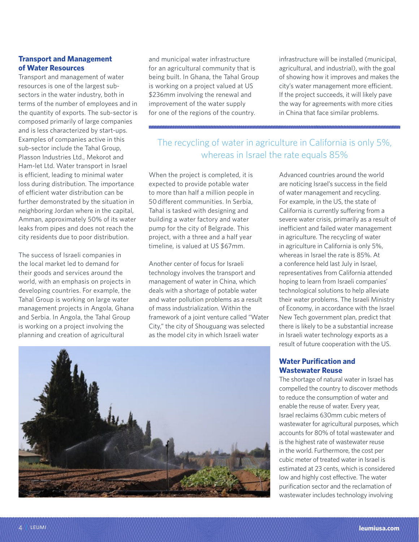# **Transport and Management of Water Resources**

Transport and management of water resources is one of the largest subsectors in the water industry, both in terms of the number of employees and in the quantity of exports. The sub-sector is composed primarily of large companies and is less characterized by start-ups. Examples of companies active in this sub-sector include the Tahal Group, Plasson Industries Ltd., Mekorot and Ham-let Ltd. Water transport in Israel is efficient, leading to minimal water loss during distribution. The importance of efficient water distribution can be further demonstrated by the situation in neighboring Jordan where in the capital, Amman, approximately 50% of its water leaks from pipes and does not reach the city residents due to poor distribution.

The success of Israeli companies in the local market led to demand for their goods and services around the world, with an emphasis on projects in developing countries. For example, the Tahal Group is working on large water management projects in Angola, Ghana and Serbia. In Angola, the Tahal Group is working on a project involving the planning and creation of agricultural

and municipal water infrastructure for an agricultural community that is being built. In Ghana, the Tahal Group is working on a project valued at US \$236mm involving the renewal and improvement of the water supply for one of the regions of the country.

infrastructure will be installed (municipal, agricultural, and industrial), with the goal of showing how it improves and makes the city's water management more efficient. If the project succeeds, it will likely pave the way for agreements with more cities in China that face similar problems.

# The recycling of water in agriculture in California is only 5%, whereas in Israel the rate equals 85%

When the project is completed, it is expected to provide potable water to more than half a million people in 50 different communities. In Serbia, Tahal is tasked with designing and building a water factory and water pump for the city of Belgrade. This project, with a three and a half year timeline, is valued at US \$67mm.

Another center of focus for Israeli technology involves the transport and management of water in China, which deals with a shortage of potable water and water pollution problems as a result of mass industrialization. Within the framework of a joint venture called "Water City," the city of Shouguang was selected as the model city in which Israeli water

Advanced countries around the world are noticing Israel's success in the field of water management and recycling. For example, in the US, the state of California is currently suffering from a severe water crisis, primarily as a result of inefficient and failed water management in agriculture. The recycling of water in agriculture in California is only 5%, whereas in Israel the rate is 85%. At a conference held last July in Israel, representatives from California attended hoping to learn from Israeli companies' technological solutions to help alleviate their water problems. The Israeli Ministry of Economy, in accordance with the Israel New Tech government plan, predict that there is likely to be a substantial increase in Israeli water technology exports as a result of future cooperation with the US.

# **Water Purification and Wastewater Reuse**

The shortage of natural water in Israel has compelled the country to discover methods to reduce the consumption of water and enable the reuse of water. Every year, Israel reclaims 630mm cubic meters of wastewater for agricultural purposes, which accounts for 80% of total wastewater and is the highest rate of wastewater reuse in the world. Furthermore, the cost per cubic meter of treated water in Israel is estimated at 23 cents, which is considered low and highly cost effective. The water purification sector and the reclamation of wastewater includes technology involving

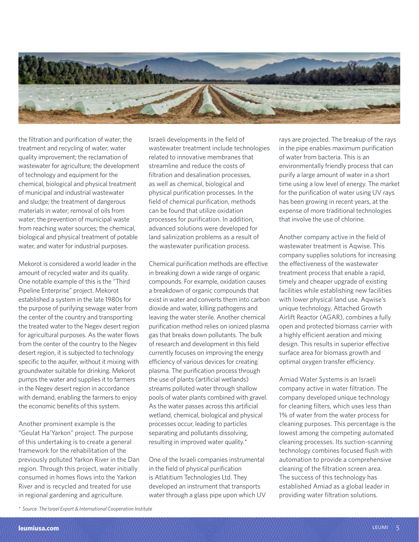

the filtration and purification of water; the treatment and recycling of water; water quality improvement; the reclamation of wastewater for agriculture; the development of technology and equipment for the chemical, biological and physical treatment of municipal and industrial wastewater and sludge; the treatment of dangerous materials in water; removal of oils from water; the prevention of municipal waste from reaching water sources; the chemical, biological and physical treatment of potable water, and water for industrial purposes.

Mekorot is considered a world leader in the amount of recycled water and its quality. One notable example of this is the "Third Pipeline Enterprise" project. Mekorot established a system in the late 1980s for the purpose of purifying sewage water from the center of the country and transporting the treated water to the Negev desert region for agricultural purposes. As the water flows from the center of the country to the Negev desert region, it is subjected to technology specific to the aquifer, without it mixing with groundwater suitable for drinking. Mekorot pumps the water and supplies it to farmers in the Negev desert region in accordance with demand, enabling the farmers to enjoy the economic benefits of this system.

Another prominent example is the "Geulat Ha'Yarkon" project. The purpose of this undertaking is to create a general framework for the rehabilitation of the previously polluted Yarkon River in the Dan region. Through this project, water initially consumed in homes flows into the Yarkon River and is recycled and treated for use in regional gardening and agriculture.

Israeli developments in the field of wastewater treatment include technologies related to innovative membranes that streamline and reduce the costs of filtration and desalination processes, as well as chemical, biological and physical purification processes. In the field of chemical purification, methods can be found that utilize oxidation processes for purification. In addition, advanced solutions were developed for land salinization problems as a result of the wastewater purification process.

Chemical purification methods are effective in breaking down a wide range of organic compounds. For example, oxidation causes a breakdown of organic compounds that exist in water and converts them into carbon dioxide and water, killing pathogens and leaving the water sterile. Another chemical purification method relies on ionized plasma gas that breaks down pollutants. The bulk of research and development in this field currently focuses on improving the energy efficiency of various devices for creating plasma. The purification process through the use of plants (artificial wetlands) streams polluted water through shallow pools of water plants combined with gravel. As the water passes across this artificial wetland, chemical, biological and physical processes occur, leading to particles separating and pollutants dissolving, resulting in improved water quality.\*

One of the Israeli companies instrumental in the field of physical purification is Atlatitium Technologies Ltd. They developed an instrument that transports water through a glass pipe upon which UV rays are projected. The breakup of the rays in the pipe enables maximum purification of water from bacteria. This is an environmentally friendly process that can purify a large amount of water in a short time using a low level of energy. The market for the purification of water using UV rays has been growing in recent years, at the expense of more traditional technologies that involve the use of chlorine.

Another company active in the field of wastewater treatment is Aqwise. This company supplies solutions for increasing the effectiveness of the wastewater treatment process that enable a rapid, timely and cheaper upgrade of existing facilities while establishing new facilities with lower physical land use. Aqwise's unique technology, Attached Growth Airlift Reactor (AGAR), combines a fully open and protected biomass carrier with a highly efficient aeration and mixing design. This results in superior effective surface area for biomass growth and optimal oxygen transfer efficiency.

Amiad Water Systems is an Israeli company active in water filtration. The company developed unique technology for cleaning filters, which uses less than 1% of water from the water process for cleaning purposes. This percentage is the lowest among the competing automated cleaning processes. Its suction-scanning technology combines focused flush with automation to provide a comprehensive cleaning of the filtration screen area. The success of this technology has established Amiad as a global leader in providing water filtration solutions.

*<sup>\*</sup> Source: The Israel Export & International Cooperation Institute*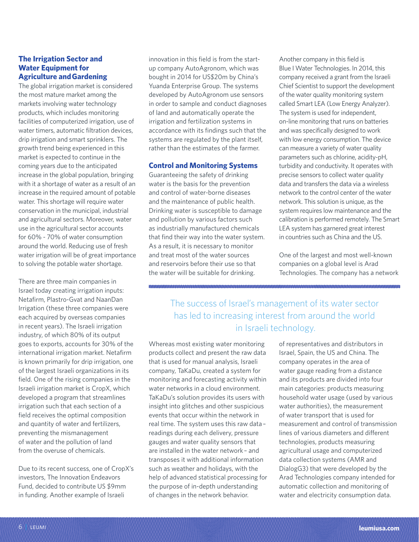# **The Irrigation Sector and Water Equipment for Agriculture and Gardening**

The global irrigation market is considered the most mature market among the markets involving water technology products, which includes monitoring facilities of computerized irrigation, use of water timers, automatic filtration devices, drip irrigation and smart sprinklers. The growth trend being experienced in this market is expected to continue in the coming years due to the anticipated increase in the global population, bringing with it a shortage of water as a result of an increase in the required amount of potable water. This shortage will require water conservation in the municipal, industrial and agricultural sectors. Moreover, water use in the agricultural sector accounts for 60% - 70% of water consumption around the world. Reducing use of fresh water irrigation will be of great importance to solving the potable water shortage.

There are three main companies in Israel today creating irrigation inputs: Netafirm, Plastro-Gvat and NaanDan Irrigation (these three companies were each acquired by overseas companies in recent years). The Israeli irrigation industry, of which 80% of its output goes to exports, accounts for 30% of the international irrigation market. Netafirm is known primarily for drip irrigation, one of the largest Israeli organizations in its field. One of the rising companies in the Israeli irrigation market is CropX, which developed a program that streamlines irrigation such that each section of a field receives the optimal composition and quantity of water and fertilizers, preventing the mismanagement of water and the pollution of land from the overuse of chemicals.

Due to its recent success, one of CropX's investors, The Innovation Endeavors Fund, decided to contribute US \$9mm in funding. Another example of Israeli

innovation in this field is from the startup company AutoAgronom, which was bought in 2014 for US\$20m by China's Yuanda Enterprise Group. The systems developed by AutoAgronom use sensors in order to sample and conduct diagnoses of land and automatically operate the irrigation and fertilization systems in accordance with its findings such that the systems are regulated by the plant itself, rather than the estimates of the farmer.

# **Control and Monitoring Systems**

Guaranteeing the safety of drinking water is the basis for the prevention and control of water-borne diseases and the maintenance of public health. Drinking water is susceptible to damage and pollution by various factors such as industrially manufactured chemicals that find their way into the water system. As a result, it is necessary to monitor and treat most of the water sources and reservoirs before their use so that the water will be suitable for drinking.

Another company in this field is Blue I Water Technologies. In 2014, this company received a grant from the Israeli Chief Scientist to support the development of the water quality monitoring system called Smart LEA (Low Energy Analyzer). The system is used for independent, on-line monitoring that runs on batteries and was specifically designed to work with low energy consumption. The device can measure a variety of water quality parameters such as chlorine, acidity-pH, turbidity and conductivity. It operates with precise sensors to collect water quality data and transfers the data via a wireless network to the control center of the water network. This solution is unique, as the system requires low maintenance and the calibration is performed remotely. The Smart LEA system has garnered great interest in countries such as China and the US.

One of the largest and most well-known companies on a global level is Arad Technologies. The company has a network

The success of Israel's management of its water sector has led to increasing interest from around the world in Israeli technology.

Whereas most existing water monitoring products collect and present the raw data that is used for manual analysis, Israeli company, TaKaDu, created a system for monitoring and forecasting activity within water networks in a cloud environment. TaKaDu's solution provides its users with insight into glitches and other suspicious events that occur within the network in real time. The system uses this raw data – readings during each delivery, pressure gauges and water quality sensors that are installed in the water network – and transposes it with additional information such as weather and holidays, with the help of advanced statistical processing for the purpose of in-depth understanding of changes in the network behavior.

of representatives and distributors in Israel, Spain, the US and China. The company operates in the area of water gauge reading from a distance and its products are divided into four main categories: products measuring household water usage (used by various water authorities), the measurement of water transport that is used for measurement and control of transmission lines of various diameters and different technologies, products measuring agricultural usage and computerized data collection systems (AMR and DialogG3) that were developed by the Arad Technologies company intended for automatic collection and monitoring of water and electricity consumption data.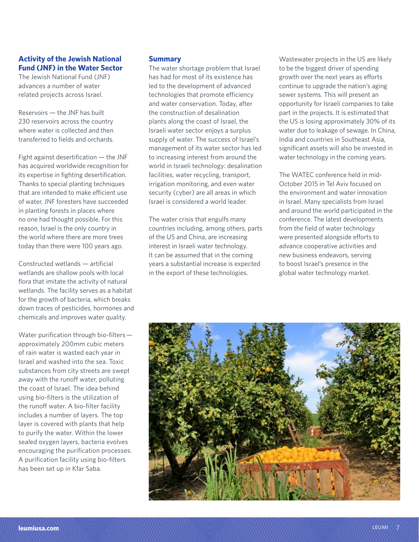# **Activity of the Jewish National Fund (JNF) in the Water Sector**

The Jewish National Fund (JNF) advances a number of water related projects across Israel.

Reservoirs — the JNF has built 230 reservoirs across the country where water is collected and then transferred to fields and orchards.

Fight against desertification — the JNF has acquired worldwide recognition for its expertise in fighting desertification. Thanks to special planting techniques that are intended to make efficient use of water, JNF foresters have succeeded in planting forests in places where no one had thought possible. For this reason, Israel is the only country in the world where there are more trees today than there were 100 years ago.

Constructed wetlands — artificial wetlands are shallow pools with local flora that imitate the activity of natural wetlands. The facility serves as a habitat for the growth of bacteria, which breaks down traces of pesticides, hormones and chemicals and improves water quality.

Water purification through bio-filters approximately 200mm cubic meters of rain water is wasted each year in Israel and washed into the sea. Toxic substances from city streets are swept away with the runoff water, polluting the coast of Israel. The idea behind using bio-filters is the utilization of the runoff water. A bio-filter facility includes a number of layers. The top layer is covered with plants that help to purify the water. Within the lower sealed oxygen layers, bacteria evolves encouraging the purification processes. A purification facility using bio-filters has been set up in Kfar Saba.

# **Summary**

The water shortage problem that Israel has had for most of its existence has led to the development of advanced technologies that promote efficiency and water conservation. Today, after the construction of desalination plants along the coast of Israel, the Israeli water sector enjoys a surplus supply of water. The success of Israel's management of its water sector has led to increasing interest from around the world in Israeli technology: desalination facilities, water recycling, transport, irrigation monitoring, and even water security (cyber) are all areas in which Israel is considered a world leader.

The water crisis that engulfs many countries including, among others, parts of the US and China, are increasing interest in Israeli water technology. It can be assumed that in the coming years a substantial increase is expected in the export of these technologies.

Wastewater projects in the US are likely to be the biggest driver of spending growth over the next years as efforts continue to upgrade the nation's aging sewer systems. This will present an opportunity for Israeli companies to take part in the projects. It is estimated that the US is losing approximately 30% of its water due to leakage of sewage. In China, India and countries in Southeast Asia, significant assets will also be invested in water technology in the coming years.

The WATEC conference held in mid-October 2015 in Tel Aviv focused on the environment and water innovation in Israel. Many specialists from Israel and around the world participated in the conference. The latest developments from the field of water technology were presented alongside efforts to advance cooperative activities and new business endeavors, serving to boost Israel's presence in the global water technology market.